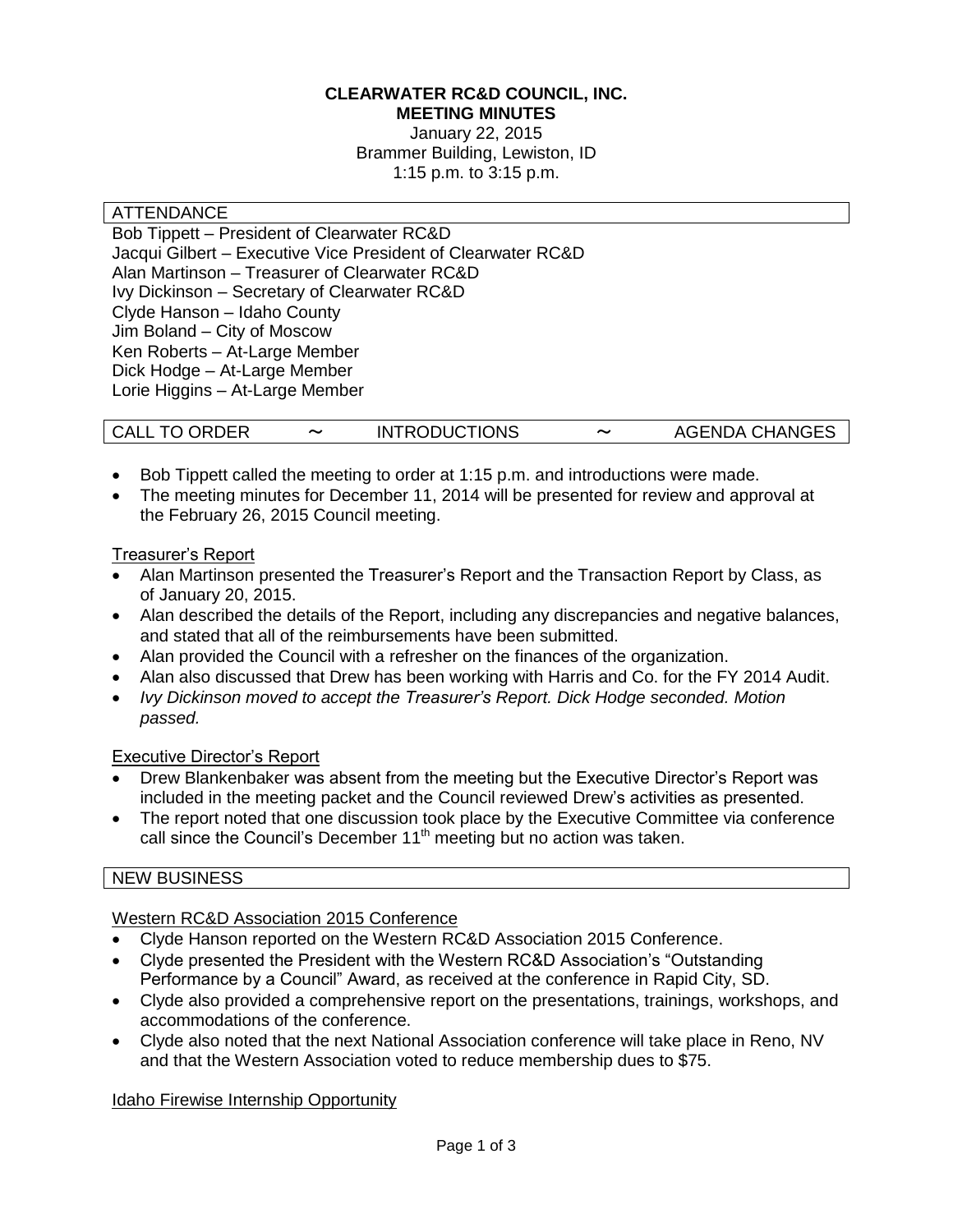#### **CLEARWATER RC&D COUNCIL, INC. MEETING MINUTES**

January 22, 2015 Brammer Building, Lewiston, ID 1:15 p.m. to 3:15 p.m.

#### ATTENDANCE

Bob Tippett – President of Clearwater RC&D Jacqui Gilbert – Executive Vice President of Clearwater RC&D Alan Martinson – Treasurer of Clearwater RC&D Ivy Dickinson – Secretary of Clearwater RC&D Clyde Hanson – Idaho County Jim Boland – City of Moscow Ken Roberts – At-Large Member Dick Hodge – At-Large Member Lorie Higgins – At-Large Member

| <b>CALL TO ORDER</b> | <b>INTRODUCTIONS</b> | $\tilde{\phantom{a}}$ | <b>AGENDA CHANGES</b> |
|----------------------|----------------------|-----------------------|-----------------------|
|----------------------|----------------------|-----------------------|-----------------------|

- Bob Tippett called the meeting to order at 1:15 p.m. and introductions were made.
- The meeting minutes for December 11, 2014 will be presented for review and approval at the February 26, 2015 Council meeting.

#### Treasurer's Report

- Alan Martinson presented the Treasurer's Report and the Transaction Report by Class, as of January 20, 2015.
- Alan described the details of the Report, including any discrepancies and negative balances, and stated that all of the reimbursements have been submitted.
- Alan provided the Council with a refresher on the finances of the organization.
- Alan also discussed that Drew has been working with Harris and Co. for the FY 2014 Audit.
- *Ivy Dickinson moved to accept the Treasurer's Report. Dick Hodge seconded. Motion passed.*

#### Executive Director's Report

- Drew Blankenbaker was absent from the meeting but the Executive Director's Report was included in the meeting packet and the Council reviewed Drew's activities as presented.
- The report noted that one discussion took place by the Executive Committee via conference call since the Council's December 11<sup>th</sup> meeting but no action was taken.

#### NEW BUSINESS

# Western RC&D Association 2015 Conference

- Clyde Hanson reported on the Western RC&D Association 2015 Conference.
- Clyde presented the President with the Western RC&D Association's "Outstanding Performance by a Council" Award, as received at the conference in Rapid City, SD.
- Clyde also provided a comprehensive report on the presentations, trainings, workshops, and accommodations of the conference.
- Clyde also noted that the next National Association conference will take place in Reno, NV and that the Western Association voted to reduce membership dues to \$75.

Idaho Firewise Internship Opportunity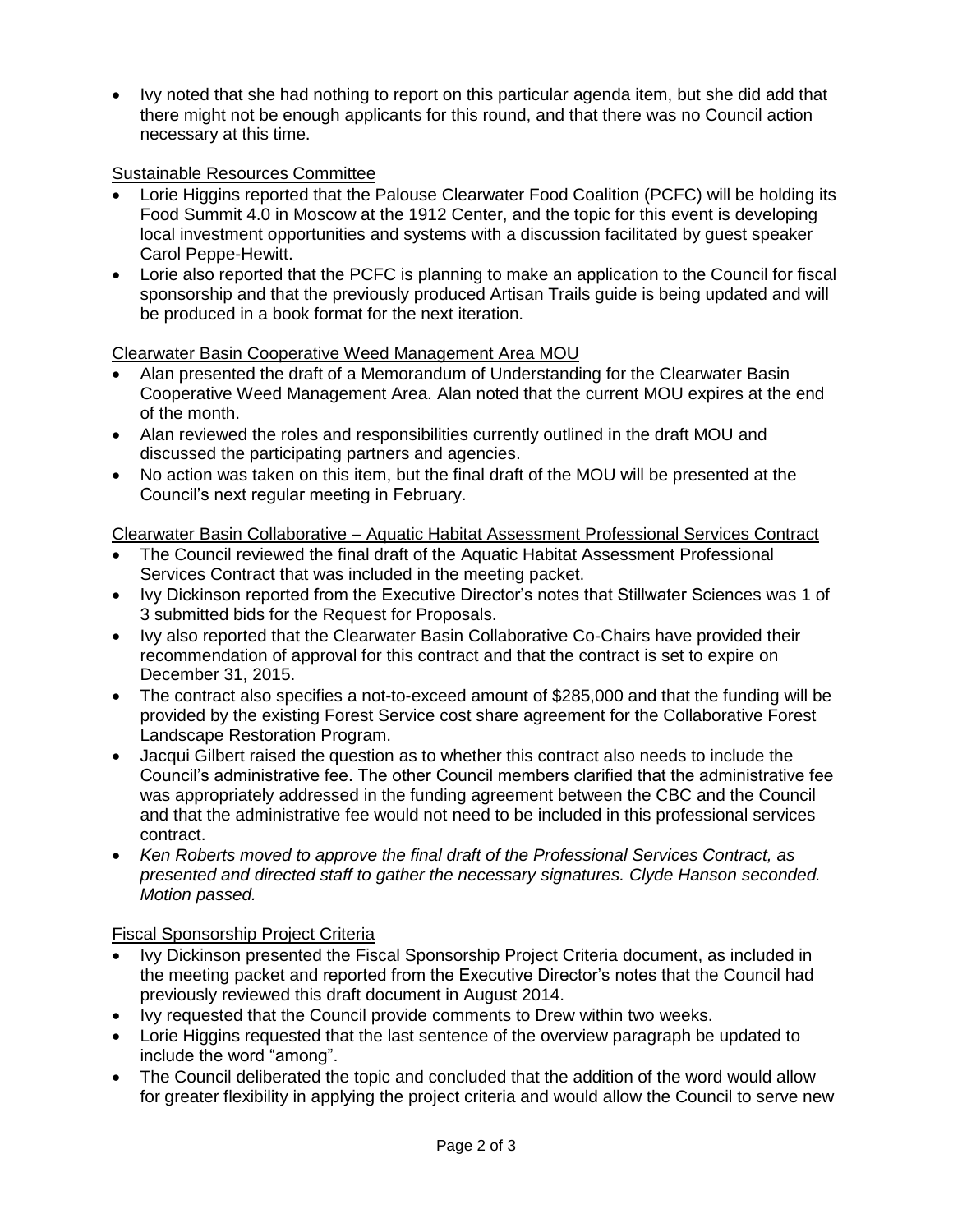Ivy noted that she had nothing to report on this particular agenda item, but she did add that there might not be enough applicants for this round, and that there was no Council action necessary at this time.

## Sustainable Resources Committee

- Lorie Higgins reported that the Palouse Clearwater Food Coalition (PCFC) will be holding its Food Summit 4.0 in Moscow at the 1912 Center, and the topic for this event is developing local investment opportunities and systems with a discussion facilitated by guest speaker Carol Peppe-Hewitt.
- Lorie also reported that the PCFC is planning to make an application to the Council for fiscal sponsorship and that the previously produced Artisan Trails guide is being updated and will be produced in a book format for the next iteration.

## Clearwater Basin Cooperative Weed Management Area MOU

- Alan presented the draft of a Memorandum of Understanding for the Clearwater Basin Cooperative Weed Management Area. Alan noted that the current MOU expires at the end of the month.
- Alan reviewed the roles and responsibilities currently outlined in the draft MOU and discussed the participating partners and agencies.
- No action was taken on this item, but the final draft of the MOU will be presented at the Council's next regular meeting in February.

# Clearwater Basin Collaborative – Aquatic Habitat Assessment Professional Services Contract

- The Council reviewed the final draft of the Aquatic Habitat Assessment Professional Services Contract that was included in the meeting packet.
- Ivy Dickinson reported from the Executive Director's notes that Stillwater Sciences was 1 of 3 submitted bids for the Request for Proposals.
- Ivy also reported that the Clearwater Basin Collaborative Co-Chairs have provided their recommendation of approval for this contract and that the contract is set to expire on December 31, 2015.
- The contract also specifies a not-to-exceed amount of \$285,000 and that the funding will be provided by the existing Forest Service cost share agreement for the Collaborative Forest Landscape Restoration Program.
- Jacqui Gilbert raised the question as to whether this contract also needs to include the Council's administrative fee. The other Council members clarified that the administrative fee was appropriately addressed in the funding agreement between the CBC and the Council and that the administrative fee would not need to be included in this professional services contract.
- *Ken Roberts moved to approve the final draft of the Professional Services Contract, as presented and directed staff to gather the necessary signatures. Clyde Hanson seconded. Motion passed.*

## Fiscal Sponsorship Project Criteria

- Ivy Dickinson presented the Fiscal Sponsorship Project Criteria document, as included in the meeting packet and reported from the Executive Director's notes that the Council had previously reviewed this draft document in August 2014.
- Ivy requested that the Council provide comments to Drew within two weeks.
- Lorie Higgins requested that the last sentence of the overview paragraph be updated to include the word "among".
- The Council deliberated the topic and concluded that the addition of the word would allow for greater flexibility in applying the project criteria and would allow the Council to serve new